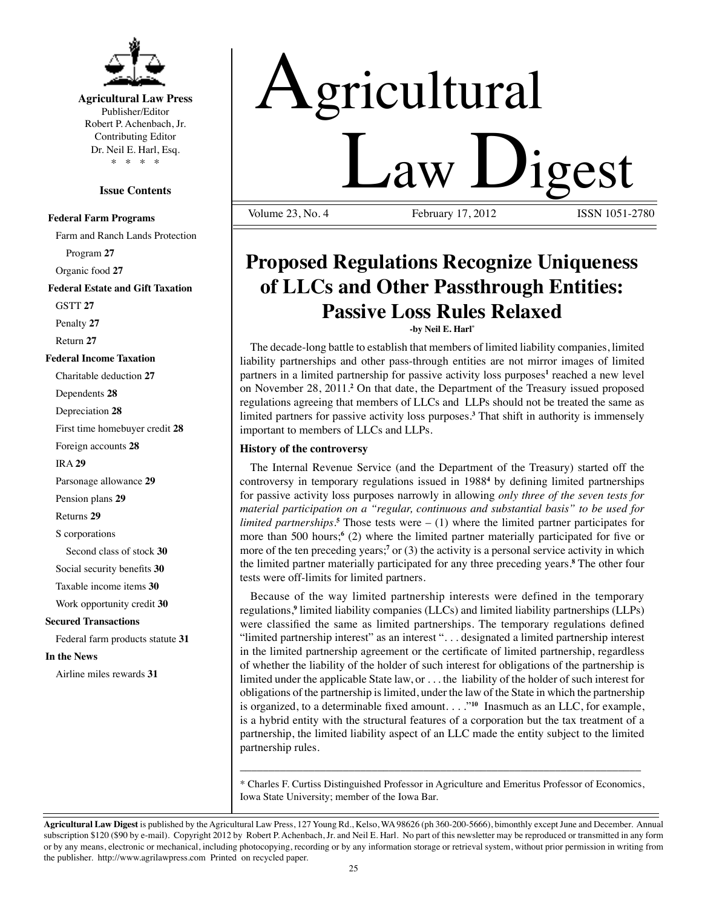

### **Agricultural Law Press**

Publisher/Editor Robert P. Achenbach, Jr. Contributing Editor Dr. Neil E. Harl, Esq. \* \* \* \*

#### **Issue Contents**

#### **Federal Farm Programs**

Farm and Ranch Lands Protection Program **27** Organic food **27 Federal Estate and Gift Taxation** GSTT **27** Penalty **27** Return **27 Federal Income Taxation** Charitable deduction **27** Dependents **28** Depreciation **28** First time homebuyer credit **28** Foreign accounts **28** IRA **29** Parsonage allowance **29** Pension plans **29** Returns **29** S corporations Second class of stock **30** Social security benefits **30** Taxable income items **30** Work opportunity credit **30 Secured Transactions** Federal farm products statute **31 In the News** Airline miles rewards **31**

# Agricultural Volume 23, No. 4 February 17, 2012 ISSN 1051-2780 February 17, 2012

## **Proposed Regulations Recognize Uniqueness of LLCs and Other Passthrough Entities: Passive Loss Rules Relaxed**

**-by Neil E. Harl\*** 

The decade-long battle to establish that members of limited liability companies, limited liability partnerships and other pass-through entities are not mirror images of limited partners in a limited partnership for passive activity loss purposes<sup>1</sup> reached a new level on November 28, 2011.**<sup>2</sup>** On that date, the Department of the Treasury issued proposed regulations agreeing that members of LLCs and LLPs should not be treated the same as limited partners for passive activity loss purposes.**<sup>3</sup>** That shift in authority is immensely important to members of LLCs and LLPs.

#### **History of the controversy**

The Internal Revenue Service (and the Department of the Treasury) started off the controversy in temporary regulations issued in 1988**<sup>4</sup>** by defining limited partnerships for passive activity loss purposes narrowly in allowing *only three of the seven tests for material participation on a "regular, continuous and substantial basis" to be used for limited partnerships.***<sup>5</sup>** Those tests were – (1) where the limited partner participates for more than 500 hours;<sup>6</sup> (2) where the limited partner materially participated for five or more of the ten preceding years;<sup>7</sup> or (3) the activity is a personal service activity in which the limited partner materially participated for any three preceding years.**<sup>8</sup>** The other four tests were off-limits for limited partners.

Because of the way limited partnership interests were defined in the temporary regulations,<sup>9</sup> limited liability companies (LLCs) and limited liability partnerships (LLPs) were classified the same as limited partnerships. The temporary regulations defined "limited partnership interest" as an interest ". . . designated a limited partnership interest in the limited partnership agreement or the certificate of limited partnership, regardless of whether the liability of the holder of such interest for obligations of the partnership is limited under the applicable State law, or . . . the liability of the holder of such interest for obligations of the partnership is limited, under the law of the State in which the partnership is organized, to a determinable fixed amount. . . ."**<sup>10</sup>** Inasmuch as an LLC, for example, is a hybrid entity with the structural features of a corporation but the tax treatment of a partnership, the limited liability aspect of an LLC made the entity subject to the limited partnership rules.

\* Charles F. Curtiss Distinguished Professor in Agriculture and Emeritus Professor of Economics, Iowa State University; member of the Iowa Bar.

\_\_\_\_\_\_\_\_\_\_\_\_\_\_\_\_\_\_\_\_\_\_\_\_\_\_\_\_\_\_\_\_\_\_\_\_\_\_\_\_\_\_\_\_\_\_\_\_\_\_\_\_\_\_\_\_\_\_\_\_\_\_\_\_\_\_\_\_\_\_

**Agricultural Law Digest** is published by the Agricultural Law Press, 127 Young Rd., Kelso, WA 98626 (ph 360-200-5666), bimonthly except June and December. Annual subscription \$120 (\$90 by e-mail). Copyright 2012 by Robert P. Achenbach, Jr. and Neil E. Harl. No part of this newsletter may be reproduced or transmitted in any form or by any means, electronic or mechanical, including photocopying, recording or by any information storage or retrieval system, without prior permission in writing from the publisher. http://www.agrilawpress.com Printed on recycled paper.